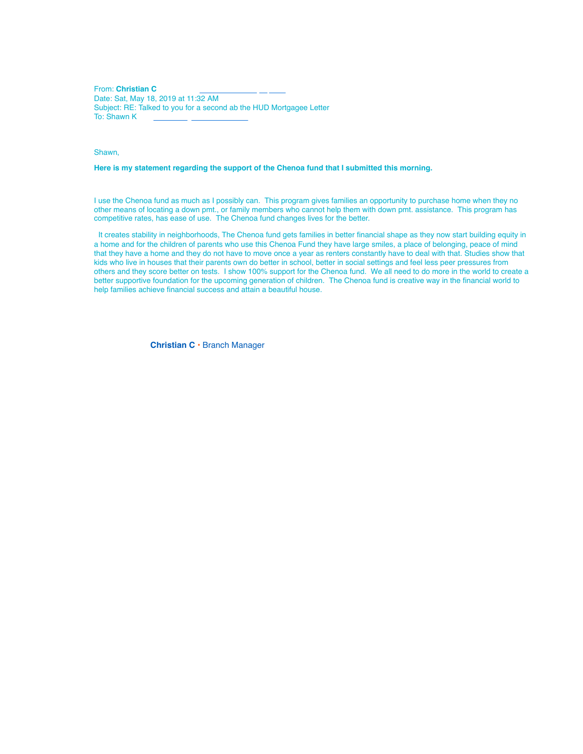From: **Christian C** Date: Sat, May 18, 2019 at 11:32 AM Subject: RE: Talked to you for a second ab the HUD Mortgagee Letter To: Shawn K

Shawn,

## **Here is my statement regarding the support of the Chenoa fund that I submitted this morning.**

I use the Chenoa fund as much as I possibly can. This program gives families an opportunity to purchase home when they no other means of locating a down pmt., or family members who cannot help them with down pmt. assistance. This program has competitive rates, has ease of use. The Chenoa fund changes lives for the better.

It creates stability in neighborhoods, The Chenoa fund gets families in better financial shape as they now start building equity in a home and for the children of parents who use this Chenoa Fund they have large smiles, a place of belonging, peace of mind that they have a home and they do not have to move once a year as renters constantly have to deal with that. Studies show that kids who live in houses that their parents own do better in school, better in social settings and feel less peer pressures from others and they score better on tests. I show 100% support for the Chenoa fund. We all need to do more in the world to create a better supportive foundation for the upcoming generation of children. The Chenoa fund is creative way in the financial world to help families achieve financial success and attain a beautiful house.

**Christian C** • Branch Manager